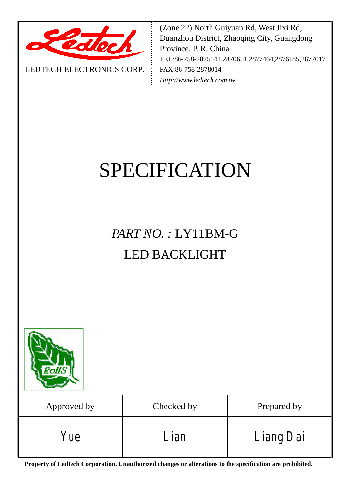

LEDTECH ELECTRONICS CORP**.**

(Zone 22) North Guiyuan Rd, West Jixi Rd, Duanzhou District, Zhaoqing City, Guangdong Province, P. R. China TEL:86-758-2875541,2870651,2877464,2876185,2877017 FAX:86-758-2878014 *[Http://www.ledtech.com.tw](http://www.ledtech.com.tw)*

# SPECIFICATION

*PART NO. :* LY11BM-G LED BACKLIGHT



**Property of Ledtech Corporation. Unauthorized changes or alterations to the specification are prohibited.**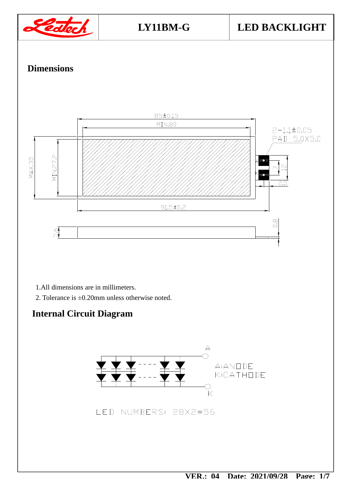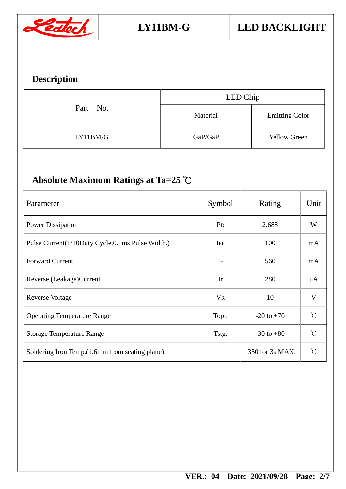

### **Description**

| Part No. | LED Chip |                       |  |
|----------|----------|-----------------------|--|
|          | Material | <b>Emitting Color</b> |  |
| LY11BM-G | GaP/GaP  | <b>Yellow Green</b>   |  |

## **Absolute Maximum Ratings at Ta=25** ℃

| Parameter                                        | Symbol                  | Rating          | Unit                |
|--------------------------------------------------|-------------------------|-----------------|---------------------|
| <b>Power Dissipation</b>                         | P <sub>D</sub><br>2.688 |                 |                     |
| Pulse Current(1/10Duty Cycle,0.1ms Pulse Width.) | <b>IFP</b>              | 100             | mA                  |
| <b>Forward Current</b>                           | IF                      | 560             | mA                  |
| Reverse (Leakage) Current                        | Ir                      | 280             | uA                  |
| Reverse Voltage                                  | $V_{R}$                 | 10              | V                   |
| <b>Operating Temperature Range</b>               | Topr.                   | $-20$ to $+70$  | $\int_0^\infty$     |
| <b>Storage Temperature Range</b>                 | Tstg.                   | $-30$ to $+80$  | $\int_{0}^{\infty}$ |
| Soldering Iron Temp. (1.6mm from seating plane)  |                         | 350 for 3s MAX. | $\int_{0}^{\infty}$ |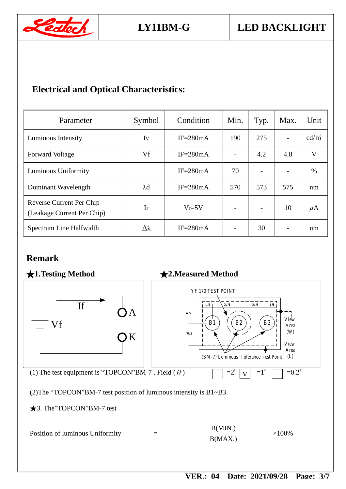

#### **Electrical and Optical Characteristics:**

| Parameter                                              | Symbol      | Condition    | Min. | Typ.                     | Max. | Unit     |
|--------------------------------------------------------|-------------|--------------|------|--------------------------|------|----------|
| Luminous Intensity                                     | Iv          | $IF = 280mA$ | 190  | 275                      |      | $cd/m^2$ |
| <b>Forward Voltage</b>                                 | Vf          | $IF = 280mA$ |      | 4.2                      | 4.8  | V        |
| Luminous Uniformity                                    |             | $IF = 280mA$ | 70   | $\overline{\phantom{a}}$ |      | $\%$     |
| Dominant Wavelength                                    | $\lambda$ d | $IF = 280mA$ | 570  | 573                      | 575  | nm       |
| Reverse Current Per Chip<br>(Leakage Current Per Chip) | Ir          | $Vr=5V$      |      | $\overline{\phantom{a}}$ | 10   | $\mu$ A  |
| Spectrum Line Halfwidth                                | Δλ          | $IF = 280mA$ |      | 30                       |      | nm       |

#### **Remark**

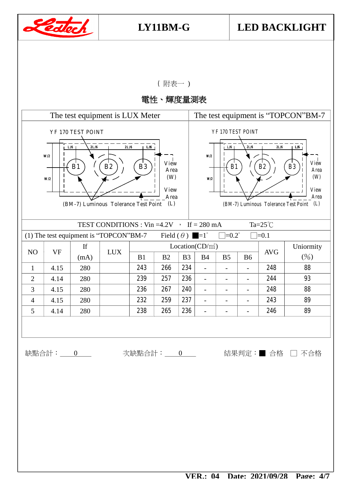

( 附表一 )

電性、輝度量測表

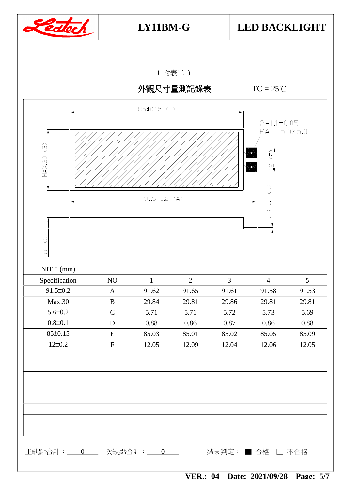

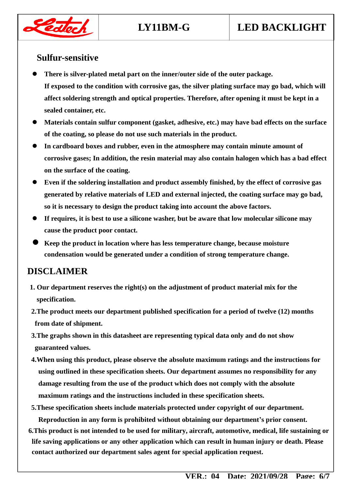# **LY11BM-G LED BACKLIGHT**



#### **Sulfur-sensitive**

- **There is silver-plated metal part on the inner/outer side of the outer package. If exposed to the condition with corrosive gas, the silver plating surface may go bad, which will affect soldering strength and optical properties. Therefore, after opening it must be kept in a sealed container, etc.**
- **Materials contain sulfur component (gasket, adhesive, etc.) may have bad effects on the surface of the coating, so please do not use such materials in the product.**
- **In cardboard boxes and rubber, even in the atmosphere may contain minute amount of corrosive gases; In addition, the resin material may also contain halogen which has a bad effect on the surface of the coating.**
- **Even if the soldering installation and product assembly finished, by the effect of corrosive gas generated by relative materials of LED and external injected, the coating surface may go bad, so it is necessary to design the product taking into account the above factors.**
- **If requires, it is best to use a silicone washer, but be aware that low molecular silicone may cause the product poor contact.**
- **Keep the product in location where has less temperature change, because moisture condensation would be generated under a condition of strong temperature change.**

#### **DISCLAIMER**

- **1. Our department reserves the right(s) on the adjustment of product material mix for the specification.**
- **2.The product meets our department published specification for a period of twelve (12) months from date of shipment.**
- **3.The graphs shown in this datasheet are representing typical data only and do not show guaranteed values.**
- **4.When using this product, please observe the absolute maximum ratings and the instructions for using outlined in these specification sheets. Our department assumes no responsibility for any damage resulting from the use of the product which does not comply with the absolute maximum ratings and the instructions included in these specification sheets.**
- **5.These specification sheets include materials protected under copyright of our department. Reproduction in any form is prohibited without obtaining our department's prior consent.**
- **6.This product is not intended to be used for military, aircraft, automotive, medical, life sustaining or life saving applications or any other application which can result in human injury or death. Please contact authorized our department sales agent for special application request.**